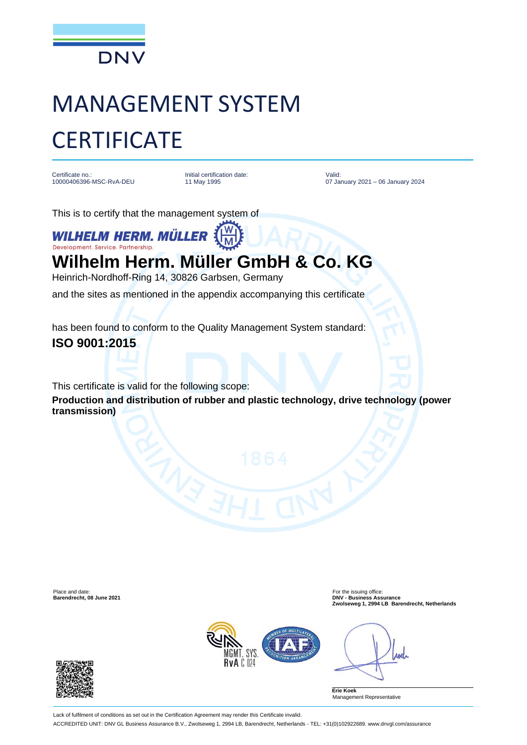

# MANAGEMENT SYSTEM **CERTIFICATE**

Certificate no.: 10000406396-MSC-RvA-DEU Initial certification date: 11 May 1995

Valid: 07 January 2021 – 06 January 2024

This is to certify that the management system of

**WILHELM HERM. MÜLLER** Development. Service. Partnership.

## **Wilhelm Herm. Müller GmbH & Co. KG**

Heinrich-Nordhoff-Ring 14, 30826 Garbsen, Germany and the sites as mentioned in the appendix accompanying this certificate

has been found to conform to the Quality Management System standard:

### **ISO 9001:2015**

This certificate is valid for the following scope:

**Production and distribution of rubber and plastic technology, drive technology (power transmission)**

Place and date:<br> **Place and date:** For the issuing office:<br> **Barendrecht.** 08 June 2021

**Barendrecht, 08 June 2021 DNV - Business Assurance Zwolseweg 1, 2994 LB Barendrecht, Netherlands**



roch

**Erie Koek** Management Representative



Lack of fulfilment of conditions as set out in the Certification Agreement may render this Certificate invalid. ACCREDITED UNIT: DNV GL Business Assurance B.V., Zwolseweg 1, 2994 LB, Barendrecht, Netherlands - TEL: +31(0)102922689. www.dnvgl.com/assurance